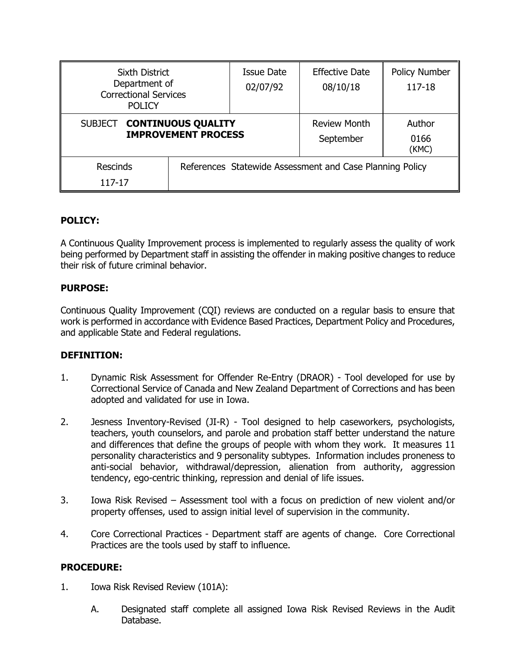| Sixth District<br>Department of<br><b>Correctional Services</b><br><b>POLICY</b> |  | <b>Issue Date</b><br>02/07/92 | <b>Effective Date</b><br>08/10/18                        | <b>Policy Number</b><br>117-18 |
|----------------------------------------------------------------------------------|--|-------------------------------|----------------------------------------------------------|--------------------------------|
| SUBJECT CONTINUOUS QUALITY<br><b>IMPROVEMENT PROCESS</b>                         |  |                               | <b>Review Month</b><br>September                         | Author<br>0166<br>(KMC)        |
| <b>Rescinds</b><br>117-17                                                        |  |                               | References Statewide Assessment and Case Planning Policy |                                |

# **POLICY:**

A Continuous Quality Improvement process is implemented to regularly assess the quality of work being performed by Department staff in assisting the offender in making positive changes to reduce their risk of future criminal behavior.

# **PURPOSE:**

Continuous Quality Improvement (CQI) reviews are conducted on a regular basis to ensure that work is performed in accordance with Evidence Based Practices, Department Policy and Procedures, and applicable State and Federal regulations.

## **DEFINITION:**

- 1. Dynamic Risk Assessment for Offender Re-Entry (DRAOR) Tool developed for use by Correctional Service of Canada and New Zealand Department of Corrections and has been adopted and validated for use in Iowa.
- 2. Jesness Inventory-Revised (JI-R) Tool designed to help caseworkers, psychologists, teachers, youth counselors, and parole and probation staff better understand the nature and differences that define the groups of people with whom they work. It measures 11 personality characteristics and 9 personality subtypes. Information includes proneness to anti-social behavior, withdrawal/depression, alienation from authority, aggression tendency, ego-centric thinking, repression and denial of life issues.
- 3. Iowa Risk Revised Assessment tool with a focus on prediction of new violent and/or property offenses, used to assign initial level of supervision in the community.
- 4. Core Correctional Practices Department staff are agents of change. Core Correctional Practices are the tools used by staff to influence.

## **PROCEDURE:**

- 1. Iowa Risk Revised Review (101A):
	- A. Designated staff complete all assigned Iowa Risk Revised Reviews in the Audit Database.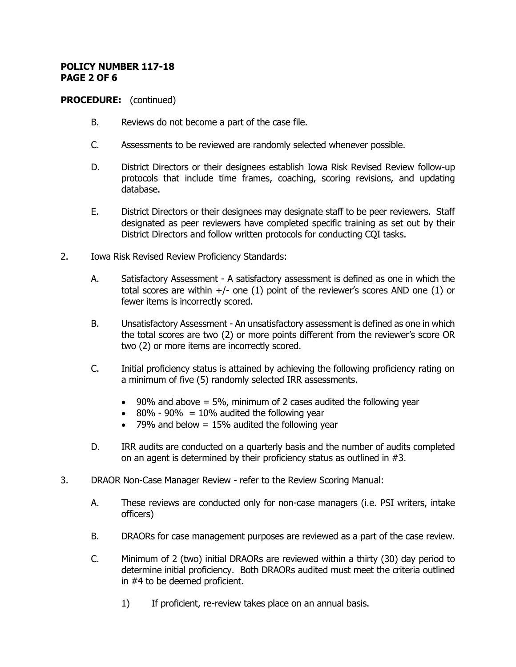### **POLICY NUMBER 117-18 PAGE 2 OF 6**

- B. Reviews do not become a part of the case file.
- C. Assessments to be reviewed are randomly selected whenever possible.
- D. District Directors or their designees establish Iowa Risk Revised Review follow-up protocols that include time frames, coaching, scoring revisions, and updating database.
- E. District Directors or their designees may designate staff to be peer reviewers. Staff designated as peer reviewers have completed specific training as set out by their District Directors and follow written protocols for conducting CQI tasks.
- 2. Iowa Risk Revised Review Proficiency Standards:
	- A. Satisfactory Assessment A satisfactory assessment is defined as one in which the total scores are within  $+/-$  one (1) point of the reviewer's scores AND one (1) or fewer items is incorrectly scored.
	- B. Unsatisfactory Assessment An unsatisfactory assessment is defined as one in which the total scores are two (2) or more points different from the reviewer's score OR two (2) or more items are incorrectly scored.
	- C. Initial proficiency status is attained by achieving the following proficiency rating on a minimum of five (5) randomly selected IRR assessments.
		- $\bullet$  90% and above = 5%, minimum of 2 cases audited the following year
		- $\cdot$  80% 90% = 10% audited the following year
		- 79% and below  $= 15%$  audited the following year
	- D. IRR audits are conducted on a quarterly basis and the number of audits completed on an agent is determined by their proficiency status as outlined in #3.
- 3. DRAOR Non-Case Manager Review refer to the Review Scoring Manual:
	- A. These reviews are conducted only for non-case managers (i.e. PSI writers, intake officers)
	- B. DRAORs for case management purposes are reviewed as a part of the case review.
	- C. Minimum of 2 (two) initial DRAORs are reviewed within a thirty (30) day period to determine initial proficiency. Both DRAORs audited must meet the criteria outlined in #4 to be deemed proficient.
		- 1) If proficient, re-review takes place on an annual basis.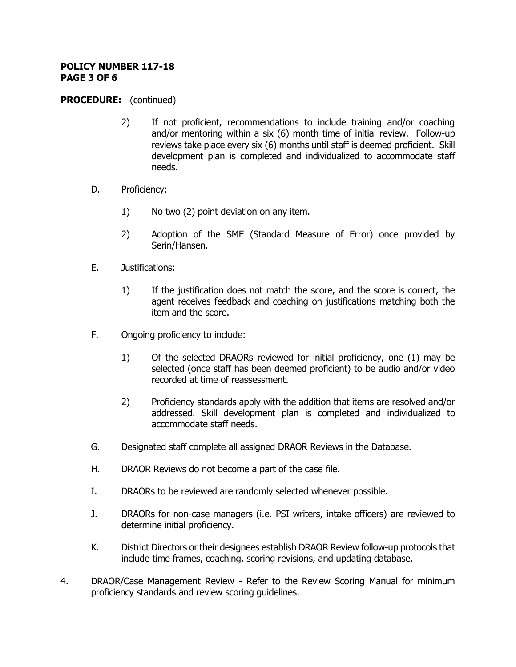#### **POLICY NUMBER 117-18 PAGE 3 OF 6**

- 2) If not proficient, recommendations to include training and/or coaching and/or mentoring within a six (6) month time of initial review. Follow-up reviews take place every six (6) months until staff is deemed proficient. Skill development plan is completed and individualized to accommodate staff needs.
- D. Proficiency:
	- 1) No two (2) point deviation on any item.
	- 2) Adoption of the SME (Standard Measure of Error) once provided by Serin/Hansen.
- E. Justifications:
	- 1) If the justification does not match the score, and the score is correct, the agent receives feedback and coaching on justifications matching both the item and the score.
- F. Ongoing proficiency to include:
	- 1) Of the selected DRAORs reviewed for initial proficiency, one (1) may be selected (once staff has been deemed proficient) to be audio and/or video recorded at time of reassessment.
	- 2) Proficiency standards apply with the addition that items are resolved and/or addressed. Skill development plan is completed and individualized to accommodate staff needs.
- G. Designated staff complete all assigned DRAOR Reviews in the Database.
- H. DRAOR Reviews do not become a part of the case file.
- I. DRAORs to be reviewed are randomly selected whenever possible.
- J. DRAORs for non-case managers (i.e. PSI writers, intake officers) are reviewed to determine initial proficiency.
- K. District Directors or their designees establish DRAOR Review follow-up protocols that include time frames, coaching, scoring revisions, and updating database.
- 4. DRAOR/Case Management Review Refer to the Review Scoring Manual for minimum proficiency standards and review scoring guidelines.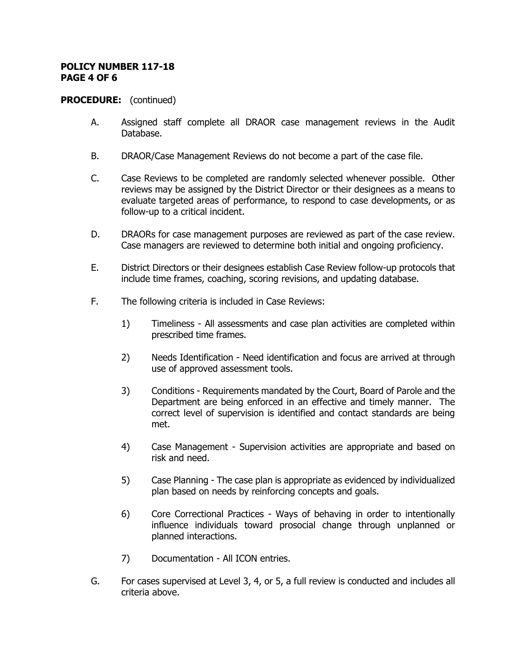#### **POLICY NUMBER 117-18 PAGE 4 OF 6**

- A. Assigned staff complete all DRAOR case management reviews in the Audit Database.
- B. DRAOR/Case Management Reviews do not become a part of the case file.
- C. Case Reviews to be completed are randomly selected whenever possible. Other reviews may be assigned by the District Director or their designees as a means to evaluate targeted areas of performance, to respond to case developments, or as follow-up to a critical incident.
- D. DRAORs for case management purposes are reviewed as part of the case review. Case managers are reviewed to determine both initial and ongoing proficiency.
- E. District Directors or their designees establish Case Review follow-up protocols that include time frames, coaching, scoring revisions, and updating database.
- F. The following criteria is included in Case Reviews:
	- 1) Timeliness All assessments and case plan activities are completed within prescribed time frames.
	- 2) Needs Identification Need identification and focus are arrived at through use of approved assessment tools.
	- 3) Conditions Requirements mandated by the Court, Board of Parole and the Department are being enforced in an effective and timely manner. The correct level of supervision is identified and contact standards are being met.
	- 4) Case Management Supervision activities are appropriate and based on risk and need.
	- 5) Case Planning The case plan is appropriate as evidenced by individualized plan based on needs by reinforcing concepts and goals.
	- 6) Core Correctional Practices Ways of behaving in order to intentionally influence individuals toward prosocial change through unplanned or planned interactions.
	- 7) Documentation All ICON entries.
- G. For cases supervised at Level 3, 4, or 5, a full review is conducted and includes all criteria above.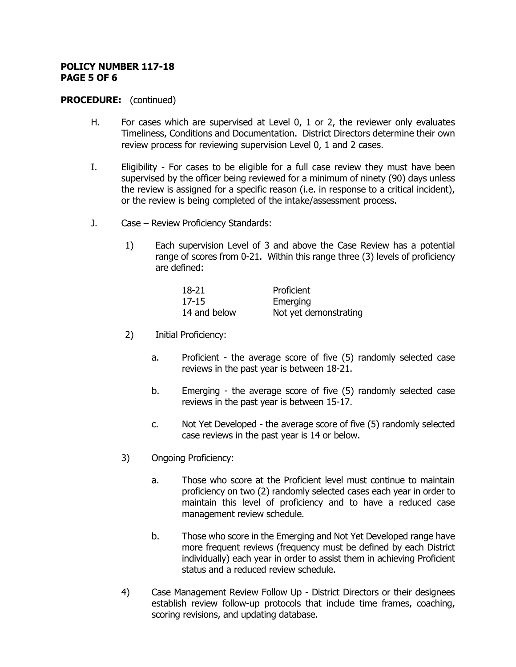#### **POLICY NUMBER 117-18 PAGE 5 OF 6**

- H. For cases which are supervised at Level 0, 1 or 2, the reviewer only evaluates Timeliness, Conditions and Documentation. District Directors determine their own review process for reviewing supervision Level 0, 1 and 2 cases.
- I. Eligibility For cases to be eligible for a full case review they must have been supervised by the officer being reviewed for a minimum of ninety (90) days unless the review is assigned for a specific reason (i.e. in response to a critical incident), or the review is being completed of the intake/assessment process.
- J. Case Review Proficiency Standards:
	- 1) Each supervision Level of 3 and above the Case Review has a potential range of scores from 0-21. Within this range three (3) levels of proficiency are defined:

| 18-21        | Proficient            |
|--------------|-----------------------|
| 17-15        | Emerging              |
| 14 and below | Not yet demonstrating |

- 2) Initial Proficiency:
	- a. Proficient the average score of five (5) randomly selected case reviews in the past year is between 18-21.
	- b. Emerging the average score of five (5) randomly selected case reviews in the past year is between 15-17.
	- c. Not Yet Developed the average score of five (5) randomly selected case reviews in the past year is 14 or below.
- 3) Ongoing Proficiency:
	- a. Those who score at the Proficient level must continue to maintain proficiency on two (2) randomly selected cases each year in order to maintain this level of proficiency and to have a reduced case management review schedule.
	- b. Those who score in the Emerging and Not Yet Developed range have more frequent reviews (frequency must be defined by each District individually) each year in order to assist them in achieving Proficient status and a reduced review schedule.
- 4) Case Management Review Follow Up District Directors or their designees establish review follow-up protocols that include time frames, coaching, scoring revisions, and updating database.